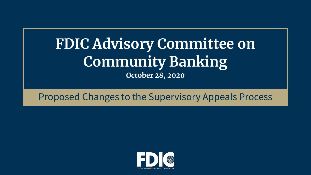# **FDIC Advisory Committee on Community Banking October 28, 2020**

### Proposed Changes to the Supervisory Appeals Process

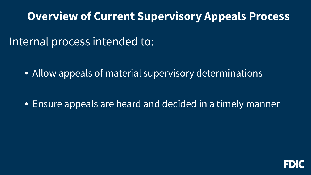## **Overview of Current Supervisory Appeals Process**

Internal process intended to:

• Allow appeals of material supervisory determinations

• Ensure appeals are heard and decided in a timely manner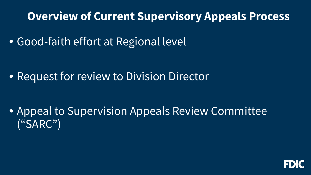## **Overview of Current Supervisory Appeals Process**

• Good-faith effort at Regional level

• Request for review to Division Director

 • Appeal to Supervision Appeals Review Committee ("SARC")

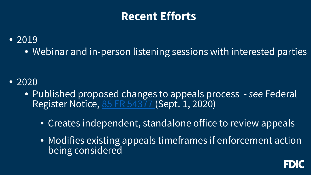## **Recent Efforts**

### • 2019

• Webinar and in-person listening sessions with interested parties

#### • 2020

- Published proposed changes to appeals process *see* Federal Register Notice, [85 FR 54377 \(](https://www.govinfo.gov/content/pkg/FR-2020-09-01/pdf/2020-19276.pdf)Sept. 1, 2020)
	- Creates independent, standalone office to review appeals
	- Modifies existing appeals timeframes if enforcement action being considered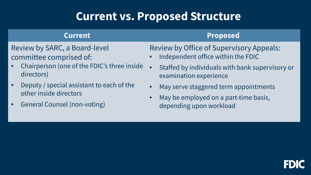## **Current vs. Proposed Structure**

#### **Current**

#### Review by SARC, a Board-level committee comprised of:

- Chairperson (one of the FDIC's three inside directors)
- • Deputy / special assistant to each of the other inside directors
- General Counsel (non-voting)

#### **Proposed**

#### Review by Office of Supervisory Appeals:

- Independent office within the FDIC
- Staffed by individuals with bank supervisory or examination experience
- May serve staggered term appointments
- • May be employed on a part-time basis, depending upon workload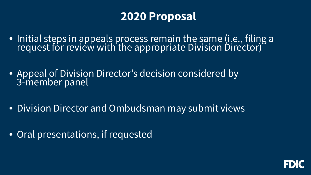## **2020 Proposal**

- • Initial steps in appeals process remain the same (i.e., filing a request for review with the appropriate Division Director)
- Appeal of Division Director's decision considered by 3-member panel
- Division Director and Ombudsman may submit views
- Oral presentations, if requested